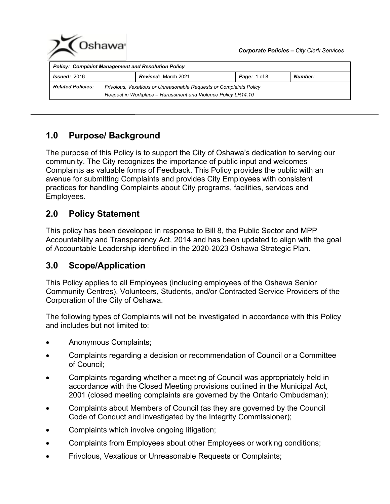

# **1.0 Purpose/ Background**

The purpose of this Policy is to support the City of Oshawa's dedication to serving our community. The City recognizes the importance of public input and welcomes Complaints as valuable forms of Feedback. This Policy provides the public with an avenue for submitting Complaints and provides City Employees with consistent practices for handling Complaints about City programs, facilities, services and Employees.

# **2.0 Policy Statement**

This policy has been developed in response to Bill 8, the Public Sector and MPP Accountability and Transparency Act, 2014 and has been updated to align with the goal of Accountable Leadership identified in the 2020-2023 Oshawa Strategic Plan.

# **3.0 Scope/Application**

This Policy applies to all Employees (including employees of the Oshawa Senior Community Centres), Volunteers, Students, and/or Contracted Service Providers of the Corporation of the City of Oshawa.

The following types of Complaints will not be investigated in accordance with this Policy and includes but not limited to:

- Anonymous Complaints;
- Complaints regarding a decision or recommendation of Council or a Committee of Council;
- Complaints regarding whether a meeting of Council was appropriately held in accordance with the Closed Meeting provisions outlined in the Municipal Act, 2001 (closed meeting complaints are governed by the Ontario Ombudsman);
- Complaints about Members of Council (as they are governed by the Council Code of Conduct and investigated by the Integrity Commissioner);
- Complaints which involve ongoing litigation;
- Complaints from Employees about other Employees or working conditions;
- Frivolous, Vexatious or Unreasonable Requests or Complaints;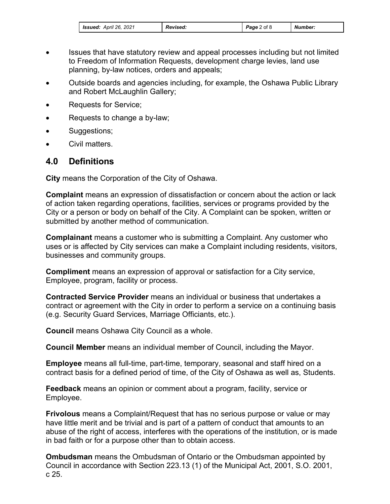| <b>Issued:</b> April 26, 2021 | <b>Revised:</b> | <b>Page</b> 2 of 8 | Number: |
|-------------------------------|-----------------|--------------------|---------|
|-------------------------------|-----------------|--------------------|---------|

- Issues that have statutory review and appeal processes including but not limited to Freedom of Information Requests, development charge levies, land use planning, by-law notices, orders and appeals;
- Outside boards and agencies including, for example, the Oshawa Public Library and Robert McLaughlin Gallery;
- Requests for Service;
- Requests to change a by-law;
- Suggestions;
- Civil matters.

## **4.0 Definitions**

**City** means the Corporation of the City of Oshawa.

**Complaint** means an expression of dissatisfaction or concern about the action or lack of action taken regarding operations, facilities, services or programs provided by the City or a person or body on behalf of the City. A Complaint can be spoken, written or submitted by another method of communication.

**Complainant** means a customer who is submitting a Complaint. Any customer who uses or is affected by City services can make a Complaint including residents, visitors, businesses and community groups.

**Compliment** means an expression of approval or satisfaction for a City service, Employee, program, facility or process.

**Contracted Service Provider** means an individual or business that undertakes a contract or agreement with the City in order to perform a service on a continuing basis (e.g. Security Guard Services, Marriage Officiants, etc.).

**Council** means Oshawa City Council as a whole.

**Council Member** means an individual member of Council, including the Mayor.

**Employee** means all full-time, part-time, temporary, seasonal and staff hired on a contract basis for a defined period of time, of the City of Oshawa as well as, Students.

**Feedback** means an opinion or comment about a program, facility, service or Employee.

**Frivolous** means a Complaint/Request that has no serious purpose or value or may have little merit and be trivial and is part of a pattern of conduct that amounts to an abuse of the right of access, interferes with the operations of the institution, or is made in bad faith or for a purpose other than to obtain access.

**Ombudsman** means the Ombudsman of Ontario or the Ombudsman appointed by Council in accordance with Section 223.13 (1) of the Municipal Act, 2001, S.O. 2001, c 25.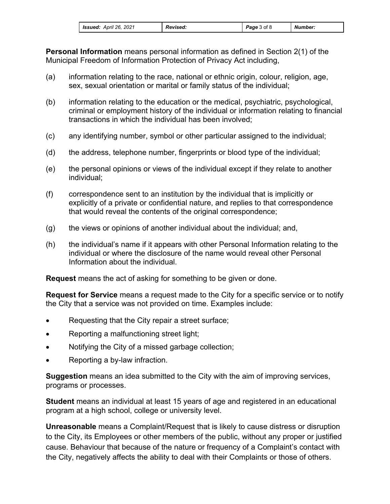| <b>Issued:</b> April 26, 2021 | <b>Revised:</b> | Page 3 of 8 | Number: |
|-------------------------------|-----------------|-------------|---------|
|-------------------------------|-----------------|-------------|---------|

**Personal Information** means personal information as defined in Section 2(1) of the Municipal Freedom of Information Protection of Privacy Act including,

- (a) information relating to the race, national or ethnic origin, colour, religion, age, sex, sexual orientation or marital or family status of the individual;
- (b) information relating to the education or the medical, psychiatric, psychological, criminal or employment history of the individual or information relating to financial transactions in which the individual has been involved;
- (c) any identifying number, symbol or other particular assigned to the individual;
- (d) the address, telephone number, fingerprints or blood type of the individual;
- (e) the personal opinions or views of the individual except if they relate to another individual;
- (f) correspondence sent to an institution by the individual that is implicitly or explicitly of a private or confidential nature, and replies to that correspondence that would reveal the contents of the original correspondence;
- (g) the views or opinions of another individual about the individual; and,
- (h) the individual's name if it appears with other Personal Information relating to the individual or where the disclosure of the name would reveal other Personal Information about the individual.

**Request** means the act of asking for something to be given or done.

**Request for Service** means a request made to the City for a specific service or to notify the City that a service was not provided on time. Examples include:

- Requesting that the City repair a street surface;
- Reporting a malfunctioning street light;
- Notifying the City of a missed garbage collection;
- Reporting a by-law infraction.

**Suggestion** means an idea submitted to the City with the aim of improving services, programs or processes.

**Student** means an individual at least 15 years of age and registered in an educational program at a high school, college or university level.

**Unreasonable** means a Complaint/Request that is likely to cause distress or disruption to the City, its Employees or other members of the public, without any proper or justified cause. Behaviour that because of the nature or frequency of a Complaint's contact with the City, negatively affects the ability to deal with their Complaints or those of others.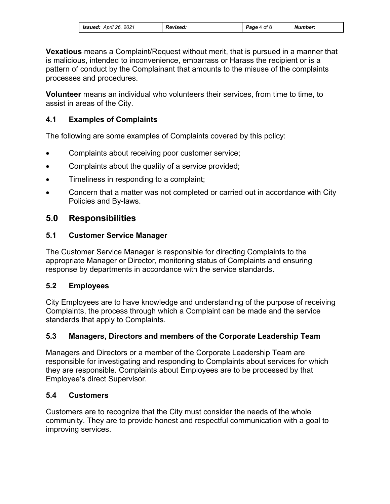| <b>Issued:</b> April 26, 2021 | <b>Revised:</b> | <b>Page 4 of 8</b> | Number: |
|-------------------------------|-----------------|--------------------|---------|
|-------------------------------|-----------------|--------------------|---------|

**Vexatious** means a Complaint/Request without merit, that is pursued in a manner that is malicious, intended to inconvenience, embarrass or Harass the recipient or is a pattern of conduct by the Complainant that amounts to the misuse of the complaints processes and procedures.

**Volunteer** means an individual who volunteers their services, from time to time, to assist in areas of the City.

### **4.1 Examples of Complaints**

The following are some examples of Complaints covered by this policy:

- Complaints about receiving poor customer service;
- Complaints about the quality of a service provided;
- Timeliness in responding to a complaint;
- Concern that a matter was not completed or carried out in accordance with City Policies and By-laws.

## **5.0 Responsibilities**

### **5.1 Customer Service Manager**

The Customer Service Manager is responsible for directing Complaints to the appropriate Manager or Director, monitoring status of Complaints and ensuring response by departments in accordance with the service standards.

#### **5.2 Employees**

City Employees are to have knowledge and understanding of the purpose of receiving Complaints, the process through which a Complaint can be made and the service standards that apply to Complaints.

#### **5.3 Managers, Directors and members of the Corporate Leadership Team**

Managers and Directors or a member of the Corporate Leadership Team are responsible for investigating and responding to Complaints about services for which they are responsible. Complaints about Employees are to be processed by that Employee's direct Supervisor.

#### **5.4 Customers**

Customers are to recognize that the City must consider the needs of the whole community. They are to provide honest and respectful communication with a goal to improving services.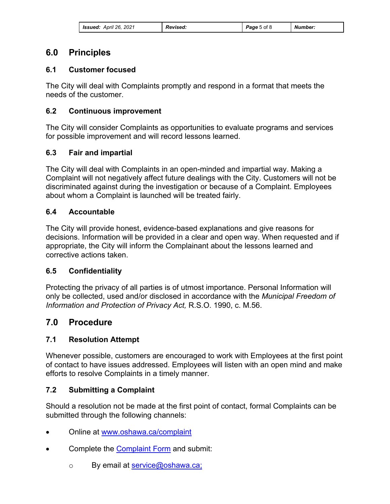| <b>Issued:</b> April 26, 2021 | <b>Revised:</b> | Page 5 of 8 | Number: |
|-------------------------------|-----------------|-------------|---------|
|-------------------------------|-----------------|-------------|---------|

## **6.0 Principles**

#### **6.1 Customer focused**

The City will deal with Complaints promptly and respond in a format that meets the needs of the customer.

#### **6.2 Continuous improvement**

The City will consider Complaints as opportunities to evaluate programs and services for possible improvement and will record lessons learned.

#### **6.3 Fair and impartial**

The City will deal with Complaints in an open-minded and impartial way. Making a Complaint will not negatively affect future dealings with the City. Customers will not be discriminated against during the investigation or because of a Complaint. Employees about whom a Complaint is launched will be treated fairly.

#### **6.4 Accountable**

The City will provide honest, evidence-based explanations and give reasons for decisions. Information will be provided in a clear and open way. When requested and if appropriate, the City will inform the Complainant about the lessons learned and corrective actions taken.

#### **6.5 Confidentiality**

Protecting the privacy of all parties is of utmost importance. Personal Information will only be collected, used and/or disclosed in accordance with the *Municipal Freedom of Information and Protection of Privacy Act,* R.S.O. 1990, c. M.56.

## **7.0 Procedure**

#### **7.1 Resolution Attempt**

Whenever possible, customers are encouraged to work with Employees at the first point of contact to have issues addressed. Employees will listen with an open mind and make efforts to resolve Complaints in a timely manner.

#### **7.2 Submitting a Complaint**

Should a resolution not be made at the first point of contact, formal Complaints can be submitted through the following channels:

- Online at [www.oshawa.ca/complaint](http://www.oshawa.ca/complaint)
- Complete the [Complaint Form](https://www.oshawa.ca/city-hall/resources/Complaint-Form.pdf) and submit:
	- o By email at [service@oshawa.ca;](mailto:service@oshawa.ca)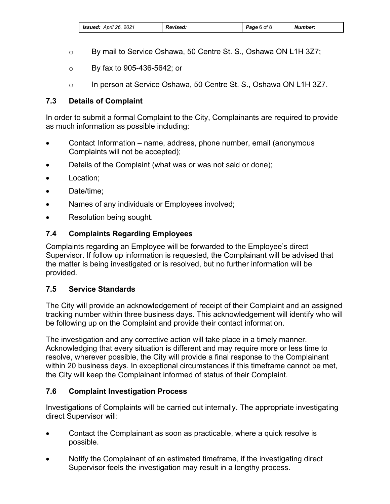| <b>Issued:</b> April 26, 2021 | <b>Revised:</b> | <b>Page</b> 6 of 8 | Number: |
|-------------------------------|-----------------|--------------------|---------|
|-------------------------------|-----------------|--------------------|---------|

- o By mail to Service Oshawa, 50 Centre St. S., Oshawa ON L1H 3Z7;
- o By fax to 905-436-5642; or
- o In person at Service Oshawa, 50 Centre St. S., Oshawa ON L1H 3Z7.

### **7.3 Details of Complaint**

In order to submit a formal Complaint to the City, Complainants are required to provide as much information as possible including:

- Contact Information name, address, phone number, email (anonymous Complaints will not be accepted);
- Details of the Complaint (what was or was not said or done);
- Location;
- Date/time:
- Names of any individuals or Employees involved;
- Resolution being sought.

## **7.4 Complaints Regarding Employees**

Complaints regarding an Employee will be forwarded to the Employee's direct Supervisor. If follow up information is requested, the Complainant will be advised that the matter is being investigated or is resolved, but no further information will be provided.

#### **7.5 Service Standards**

The City will provide an acknowledgement of receipt of their Complaint and an assigned tracking number within three business days. This acknowledgement will identify who will be following up on the Complaint and provide their contact information.

The investigation and any corrective action will take place in a timely manner. Acknowledging that every situation is different and may require more or less time to resolve, wherever possible, the City will provide a final response to the Complainant within 20 business days. In exceptional circumstances if this timeframe cannot be met, the City will keep the Complainant informed of status of their Complaint.

## **7.6 Complaint Investigation Process**

Investigations of Complaints will be carried out internally. The appropriate investigating direct Supervisor will:

- Contact the Complainant as soon as practicable, where a quick resolve is possible.
- Notify the Complainant of an estimated timeframe, if the investigating direct Supervisor feels the investigation may result in a lengthy process.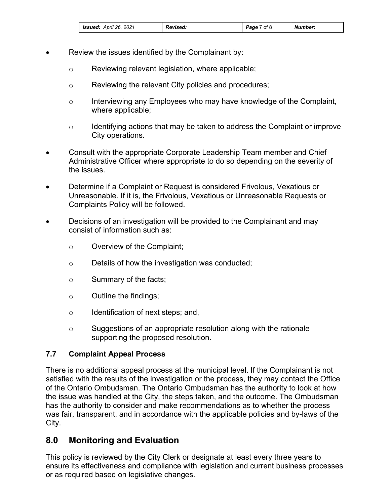| <b>Issued:</b> April 26, 2021 | <b>Revised:</b> | Page 7 of 8 | Number: |
|-------------------------------|-----------------|-------------|---------|
|-------------------------------|-----------------|-------------|---------|

- Review the issues identified by the Complainant by:
	- o Reviewing relevant legislation, where applicable;
	- o Reviewing the relevant City policies and procedures;
	- o Interviewing any Employees who may have knowledge of the Complaint, where applicable;
	- o Identifying actions that may be taken to address the Complaint or improve City operations.
- Consult with the appropriate Corporate Leadership Team member and Chief Administrative Officer where appropriate to do so depending on the severity of the issues.
- Determine if a Complaint or Request is considered Frivolous, Vexatious or Unreasonable. If it is, the Frivolous, Vexatious or Unreasonable Requests or Complaints Policy will be followed.
- Decisions of an investigation will be provided to the Complainant and may consist of information such as:
	- o Overview of the Complaint;
	- o Details of how the investigation was conducted;
	- o Summary of the facts;
	- o Outline the findings;
	- o Identification of next steps; and,
	- o Suggestions of an appropriate resolution along with the rationale supporting the proposed resolution.

#### **7.7 Complaint Appeal Process**

There is no additional appeal process at the municipal level. If the Complainant is not satisfied with the results of the investigation or the process, they may contact the Office of the Ontario Ombudsman. The Ontario Ombudsman has the authority to look at how the issue was handled at the City, the steps taken, and the outcome. The Ombudsman has the authority to consider and make recommendations as to whether the process was fair, transparent, and in accordance with the applicable policies and by-laws of the City.

## **8.0 Monitoring and Evaluation**

This policy is reviewed by the City Clerk or designate at least every three years to ensure its effectiveness and compliance with legislation and current business processes or as required based on legislative changes.